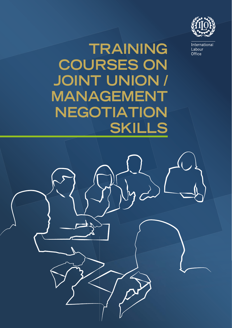

International Labour Office

## **TRAINING COURSES ON JOINT UNION / MANAGEMENT NEGOTIATION SKILLS**